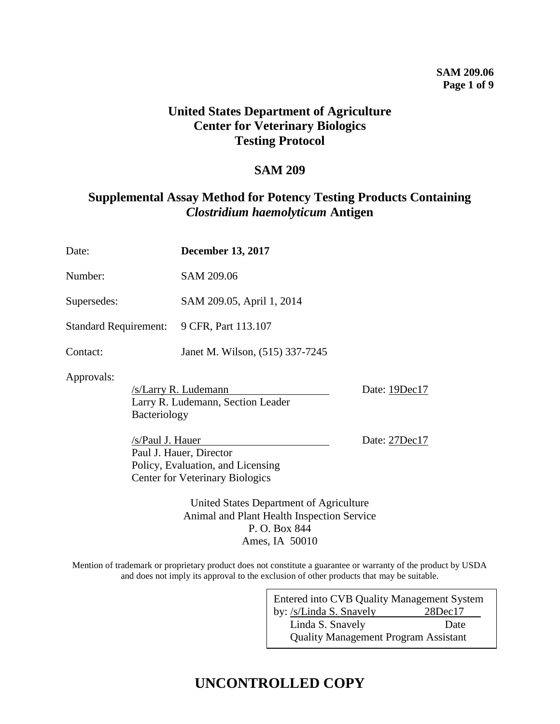#### **SAM 209.06 Page 1 of 9**

### **United States Department of Agriculture Center for Veterinary Biologics Testing Protocol**

### **SAM 209**

## **Supplemental Assay Method for Potency Testing Products Containing**  *Clostridium haemolyticum* **Antigen**

| Date:                                                                                 |                  | <b>December 13, 2017</b>                                                                               |               |  |  |
|---------------------------------------------------------------------------------------|------------------|--------------------------------------------------------------------------------------------------------|---------------|--|--|
| Number:                                                                               |                  | SAM 209.06                                                                                             |               |  |  |
| Supersedes:                                                                           |                  | SAM 209.05, April 1, 2014                                                                              |               |  |  |
| <b>Standard Requirement:</b>                                                          |                  | 9 CFR, Part 113.107                                                                                    |               |  |  |
| Contact:                                                                              |                  | Janet M. Wilson, (515) 337-7245                                                                        |               |  |  |
| Approvals:<br>Bacteriology                                                            |                  | /s/Larry R. Ludemann<br>Larry R. Ludemann, Section Leader                                              | Date: 19Dec17 |  |  |
|                                                                                       | /s/Paul J. Hauer | Paul J. Hauer, Director<br>Policy, Evaluation, and Licensing<br><b>Center for Veterinary Biologics</b> | Date: 27Dec17 |  |  |
| United States Department of Agriculture<br>Animal and Plant Health Inspection Service |                  |                                                                                                        |               |  |  |

P. O. Box 844 Ames, IA 50010

Mention of trademark or proprietary product does not constitute a guarantee or warranty of the product by USDA and does not imply its approval to the exclusion of other products that may be suitable.

| <b>Entered into CVB Quality Management System</b> |               |  |  |  |
|---------------------------------------------------|---------------|--|--|--|
| by: /s/Linda S. Snavely                           | $28$ Dec $17$ |  |  |  |
| Linda S. Snavely                                  | Date          |  |  |  |
| <b>Quality Management Program Assistant</b>       |               |  |  |  |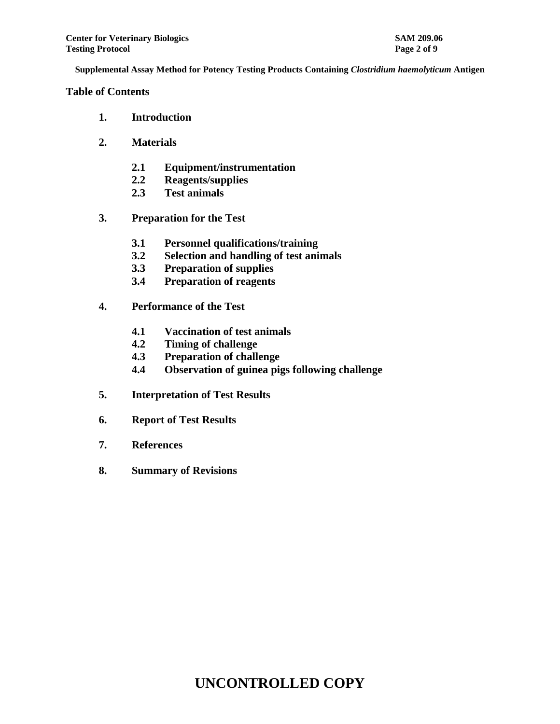#### **Table of Contents**

- **1. Introduction**
- **2. Materials**
	- **2.1 Equipment/instrumentation**
	- **2.2 Reagents/supplies**
	- **2.3 Test animals**
- **3. Preparation for the Test**
	- **3.1 Personnel qualifications/training**
	- **3.2 Selection and handling of test animals**
	- **3.3 Preparation of supplies**
	- **3.4 Preparation of reagents**
- **4. Performance of the Test**
	- **4.1 Vaccination of test animals**
	- **4.2 Timing of challenge**
	- **4.3 Preparation of challenge**
	- **4.4 Observation of guinea pigs following challenge**
- **5. Interpretation of Test Results**
- **6. Report of Test Results**
- **7. References**
- **8. Summary of Revisions**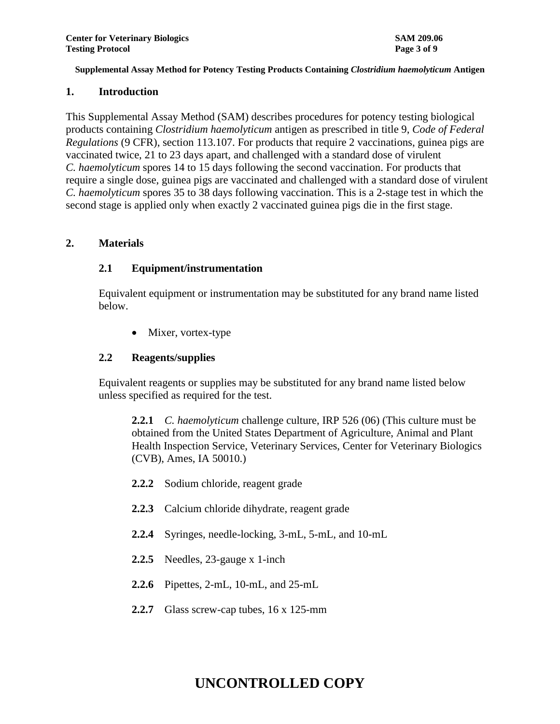#### **1. Introduction**

This Supplemental Assay Method (SAM) describes procedures for potency testing biological products containing *Clostridium haemolyticum* antigen as prescribed in title 9, *Code of Federal Regulations* (9 CFR), section 113.107. For products that require 2 vaccinations, guinea pigs are vaccinated twice, 21 to 23 days apart, and challenged with a standard dose of virulent *C. haemolyticum* spores 14 to 15 days following the second vaccination. For products that require a single dose, guinea pigs are vaccinated and challenged with a standard dose of virulent *C. haemolyticum* spores 35 to 38 days following vaccination. This is a 2-stage test in which the second stage is applied only when exactly 2 vaccinated guinea pigs die in the first stage.

#### **2. Materials**

#### **2.1 Equipment/instrumentation**

Equivalent equipment or instrumentation may be substituted for any brand name listed below.

• Mixer, vortex-type

#### **2.2 Reagents/supplies**

Equivalent reagents or supplies may be substituted for any brand name listed below unless specified as required for the test.

**2.2.1** *C. haemolyticum* challenge culture, IRP 526 (06) (This culture must be obtained from the United States Department of Agriculture, Animal and Plant Health Inspection Service, Veterinary Services, Center for Veterinary Biologics (CVB), Ames, IA 50010.)

- **2.2.2** Sodium chloride, reagent grade
- **2.2.3** Calcium chloride dihydrate, reagent grade
- **2.2.4** Syringes, needle-locking, 3-mL, 5-mL, and 10-mL
- **2.2.5** Needles, 23-gauge x 1-inch
- **2.2.6** Pipettes, 2-mL, 10-mL, and 25-mL
- **2.2.7** Glass screw-cap tubes, 16 x 125-mm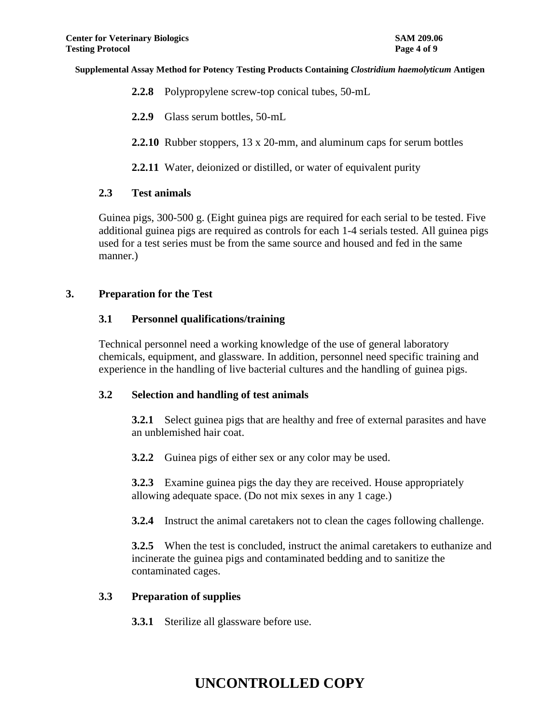- **2.2.8** Polypropylene screw-top conical tubes, 50-mL
- **2.2.9** Glass serum bottles, 50-mL
- **2.2.10** Rubber stoppers, 13 x 20-mm, and aluminum caps for serum bottles

**2.2.11** Water, deionized or distilled, or water of equivalent purity

#### **2.3 Test animals**

Guinea pigs, 300-500 g. (Eight guinea pigs are required for each serial to be tested. Five additional guinea pigs are required as controls for each 1-4 serials tested. All guinea pigs used for a test series must be from the same source and housed and fed in the same manner.)

#### **3. Preparation for the Test**

#### **3.1 Personnel qualifications/training**

Technical personnel need a working knowledge of the use of general laboratory chemicals, equipment, and glassware. In addition, personnel need specific training and experience in the handling of live bacterial cultures and the handling of guinea pigs.

#### **3.2 Selection and handling of test animals**

**3.2.1** Select guinea pigs that are healthy and free of external parasites and have an unblemished hair coat.

**3.2.2** Guinea pigs of either sex or any color may be used.

**3.2.3** Examine guinea pigs the day they are received. House appropriately allowing adequate space. (Do not mix sexes in any 1 cage.)

**3.2.4** Instruct the animal caretakers not to clean the cages following challenge.

**3.2.5** When the test is concluded, instruct the animal caretakers to euthanize and incinerate the guinea pigs and contaminated bedding and to sanitize the contaminated cages.

#### **3.3 Preparation of supplies**

**3.3.1** Sterilize all glassware before use.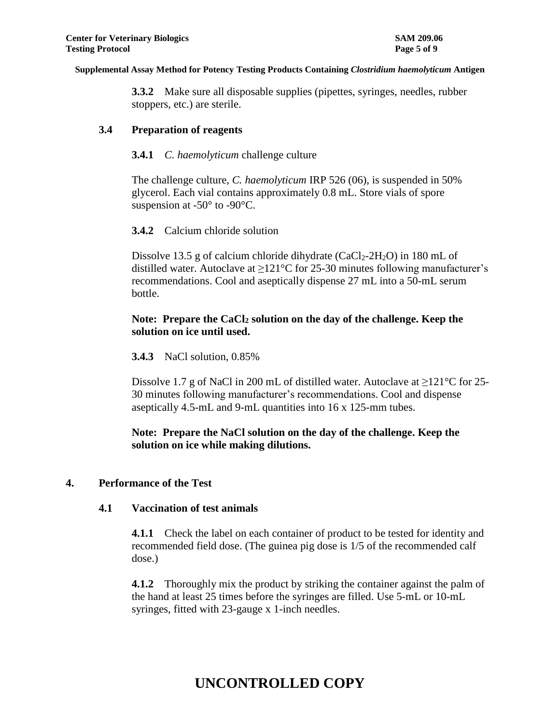**3.3.2** Make sure all disposable supplies (pipettes, syringes, needles, rubber stoppers, etc.) are sterile.

#### **3.4 Preparation of reagents**

#### **3.4.1** *C. haemolyticum* challenge culture

The challenge culture, *C. haemolyticum* IRP 526 (06), is suspended in 50% glycerol. Each vial contains approximately 0.8 mL. Store vials of spore suspension at -50° to -90°C.

#### **3.4.2** Calcium chloride solution

Dissolve 13.5 g of calcium chloride dihydrate (CaCl<sub>2</sub>-2H<sub>2</sub>O) in 180 mL of distilled water. Autoclave at  $\geq 121^{\circ}$ C for 25-30 minutes following manufacturer's recommendations. Cool and aseptically dispense 27 mL into a 50-mL serum bottle.

#### **Note: Prepare the CaCl<sup>2</sup> solution on the day of the challenge. Keep the solution on ice until used.**

#### **3.4.3** NaCl solution, 0.85%

Dissolve 1.7 g of NaCl in 200 mL of distilled water. Autoclave at  $\geq$ 121°C for 25-30 minutes following manufacturer's recommendations. Cool and dispense aseptically 4.5-mL and 9-mL quantities into 16 x 125-mm tubes.

### **Note: Prepare the NaCl solution on the day of the challenge. Keep the solution on ice while making dilutions.**

#### **4. Performance of the Test**

#### **4.1 Vaccination of test animals**

**4.1.1** Check the label on each container of product to be tested for identity and recommended field dose. (The guinea pig dose is 1/5 of the recommended calf dose.)

**4.1.2** Thoroughly mix the product by striking the container against the palm of the hand at least 25 times before the syringes are filled. Use 5-mL or 10-mL syringes, fitted with 23-gauge x 1-inch needles.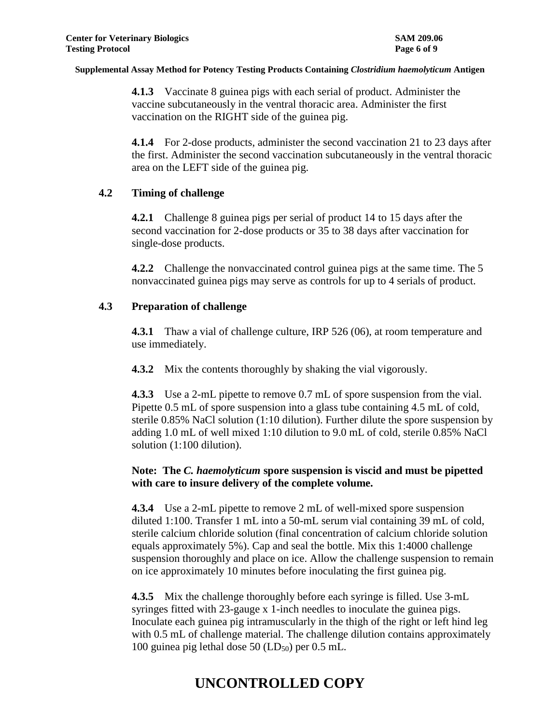**4.1.3** Vaccinate 8 guinea pigs with each serial of product. Administer the vaccine subcutaneously in the ventral thoracic area. Administer the first vaccination on the RIGHT side of the guinea pig.

**4.1.4** For 2-dose products, administer the second vaccination 21 to 23 days after the first. Administer the second vaccination subcutaneously in the ventral thoracic area on the LEFT side of the guinea pig.

#### **4.2 Timing of challenge**

**4.2.1** Challenge 8 guinea pigs per serial of product 14 to 15 days after the second vaccination for 2-dose products or 35 to 38 days after vaccination for single-dose products.

**4.2.2** Challenge the nonvaccinated control guinea pigs at the same time. The 5 nonvaccinated guinea pigs may serve as controls for up to 4 serials of product.

### **4.3 Preparation of challenge**

**4.3.1** Thaw a vial of challenge culture, IRP 526 (06), at room temperature and use immediately.

**4.3.2** Mix the contents thoroughly by shaking the vial vigorously.

**4.3.3** Use a 2-mL pipette to remove 0.7 mL of spore suspension from the vial. Pipette 0.5 mL of spore suspension into a glass tube containing 4.5 mL of cold, sterile 0.85% NaCl solution (1:10 dilution). Further dilute the spore suspension by adding 1.0 mL of well mixed 1:10 dilution to 9.0 mL of cold, sterile 0.85% NaCl solution (1:100 dilution).

### **Note: The** *C. haemolyticum* **spore suspension is viscid and must be pipetted with care to insure delivery of the complete volume.**

**4.3.4** Use a 2-mL pipette to remove 2 mL of well-mixed spore suspension diluted 1:100. Transfer 1 mL into a 50-mL serum vial containing 39 mL of cold, sterile calcium chloride solution (final concentration of calcium chloride solution equals approximately 5%). Cap and seal the bottle. Mix this 1:4000 challenge suspension thoroughly and place on ice. Allow the challenge suspension to remain on ice approximately 10 minutes before inoculating the first guinea pig.

**4.3.5** Mix the challenge thoroughly before each syringe is filled. Use 3-mL syringes fitted with 23-gauge x 1-inch needles to inoculate the guinea pigs. Inoculate each guinea pig intramuscularly in the thigh of the right or left hind leg with 0.5 mL of challenge material. The challenge dilution contains approximately 100 guinea pig lethal dose  $50$  (LD<sub>50</sub>) per 0.5 mL.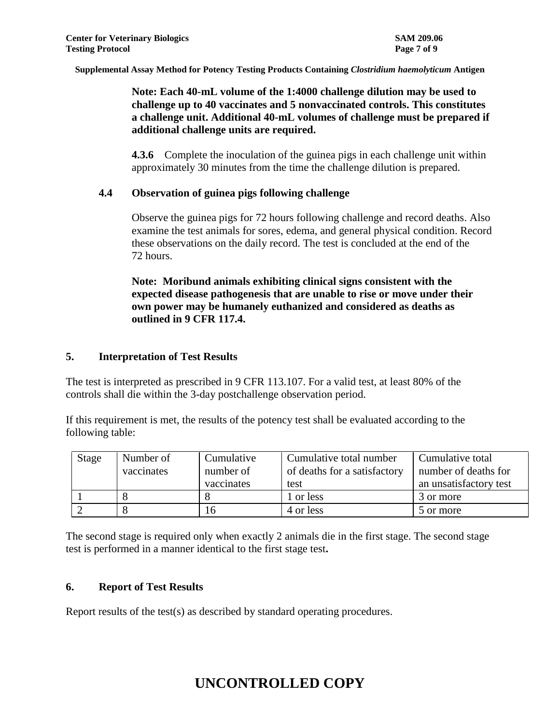### **Note: Each 40-mL volume of the 1:4000 challenge dilution may be used to challenge up to 40 vaccinates and 5 nonvaccinated controls. This constitutes a challenge unit. Additional 40-mL volumes of challenge must be prepared if additional challenge units are required.**

**4.3.6** Complete the inoculation of the guinea pigs in each challenge unit within approximately 30 minutes from the time the challenge dilution is prepared.

### **4.4 Observation of guinea pigs following challenge**

Observe the guinea pigs for 72 hours following challenge and record deaths. Also examine the test animals for sores, edema, and general physical condition. Record these observations on the daily record. The test is concluded at the end of the 72 hours.

**Note: Moribund animals exhibiting clinical signs consistent with the expected disease pathogenesis that are unable to rise or move under their own power may be humanely euthanized and considered as deaths as outlined in 9 CFR 117.4.**

#### **5. Interpretation of Test Results**

The test is interpreted as prescribed in 9 CFR 113.107. For a valid test, at least 80% of the controls shall die within the 3-day postchallenge observation period.

If this requirement is met, the results of the potency test shall be evaluated according to the following table:

| Stage | Number of<br>vaccinates | Cumulative<br>number of<br>vaccinates | Cumulative total number<br>of deaths for a satisfactory<br>test | Cumulative total<br>number of deaths for<br>an unsatisfactory test |
|-------|-------------------------|---------------------------------------|-----------------------------------------------------------------|--------------------------------------------------------------------|
|       |                         |                                       | 1 or less                                                       | 3 or more                                                          |
|       |                         | 16                                    | 4 or less                                                       | 5 or more                                                          |

The second stage is required only when exactly 2 animals die in the first stage. The second stage test is performed in a manner identical to the first stage test**.**

### **6. Report of Test Results**

Report results of the test(s) as described by standard operating procedures.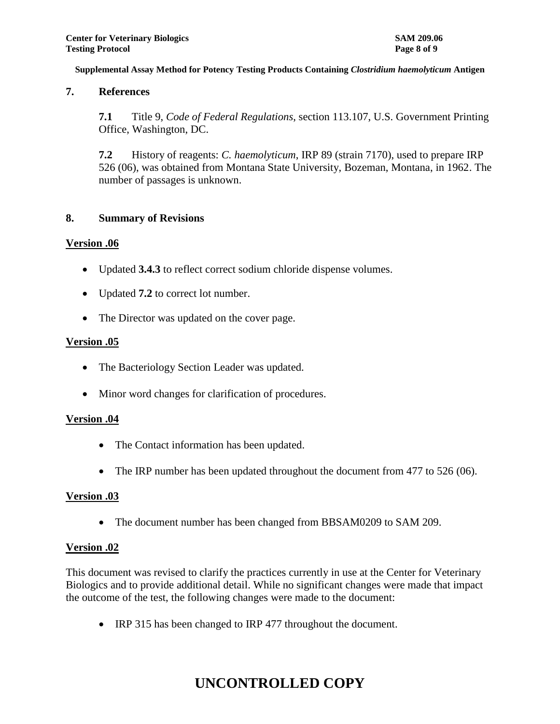#### **7. References**

**7.1** Title 9, *Code of Federal Regulations*, section 113.107, U.S. Government Printing Office, Washington, DC.

**7.2** History of reagents: *C. haemolyticum*, IRP 89 (strain 7170), used to prepare IRP 526 (06), was obtained from Montana State University, Bozeman, Montana, in 1962. The number of passages is unknown.

#### **8. Summary of Revisions**

#### **Version .06**

- Updated **3.4.3** to reflect correct sodium chloride dispense volumes.
- Updated **7.2** to correct lot number.
- The Director was updated on the cover page.

#### **Version .05**

- The Bacteriology Section Leader was updated.
- Minor word changes for clarification of procedures.

#### **Version .04**

- The Contact information has been updated.
- The IRP number has been updated throughout the document from 477 to 526 (06).

#### **Version .03**

The document number has been changed from BBSAM0209 to SAM 209.

#### **Version .02**

This document was revised to clarify the practices currently in use at the Center for Veterinary Biologics and to provide additional detail. While no significant changes were made that impact the outcome of the test, the following changes were made to the document:

• IRP 315 has been changed to IRP 477 throughout the document.